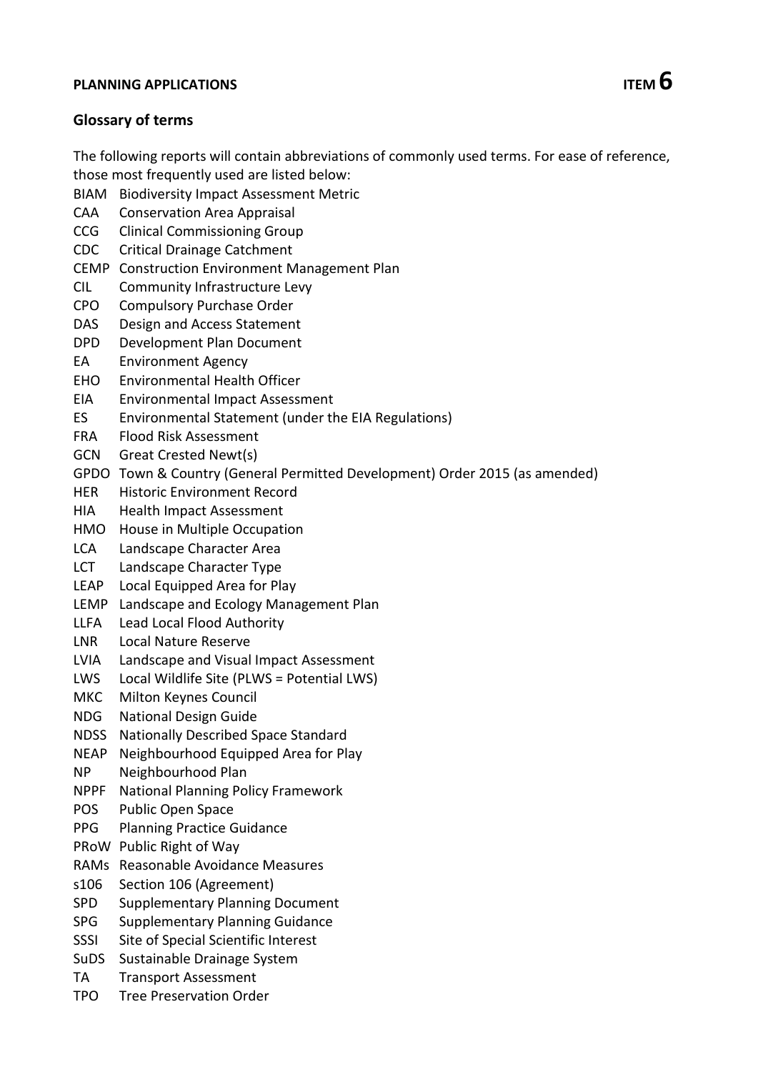# **PLANNING APPLICATIONS ITEM 6**

### **Glossary of terms**

The following reports will contain abbreviations of commonly used terms. For ease of reference, those most frequently used are listed below:

- BIAM Biodiversity Impact Assessment Metric
- CAA Conservation Area Appraisal
- CCG Clinical Commissioning Group
- CDC Critical Drainage Catchment
- CEMP Construction Environment Management Plan
- CIL Community Infrastructure Levy
- CPO Compulsory Purchase Order
- DAS Design and Access Statement
- DPD Development Plan Document
- EA Environment Agency
- EHO Environmental Health Officer
- EIA Environmental Impact Assessment
- ES Environmental Statement (under the EIA Regulations)
- FRA Flood Risk Assessment
- GCN Great Crested Newt(s)
- GPDO Town & Country (General Permitted Development) Order 2015 (as amended)
- HER Historic Environment Record
- HIA Health Impact Assessment
- HMO House in Multiple Occupation
- LCA Landscape Character Area
- LCT Landscape Character Type
- LEAP Local Equipped Area for Play
- LEMP Landscape and Ecology Management Plan
- LLFA Lead Local Flood Authority
- LNR Local Nature Reserve
- LVIA Landscape and Visual Impact Assessment
- LWS Local Wildlife Site (PLWS = Potential LWS)
- MKC Milton Keynes Council
- NDG National Design Guide
- NDSS Nationally Described Space Standard
- NEAP Neighbourhood Equipped Area for Play
- NP Neighbourhood Plan
- NPPF National Planning Policy Framework
- POS Public Open Space
- PPG Planning Practice Guidance
- PRoW Public Right of Way
- RAMs Reasonable Avoidance Measures
- s106 Section 106 (Agreement)
- SPD Supplementary Planning Document
- SPG Supplementary Planning Guidance
- SSSI Site of Special Scientific Interest
- SuDS Sustainable Drainage System
- TA Transport Assessment
- TPO Tree Preservation Order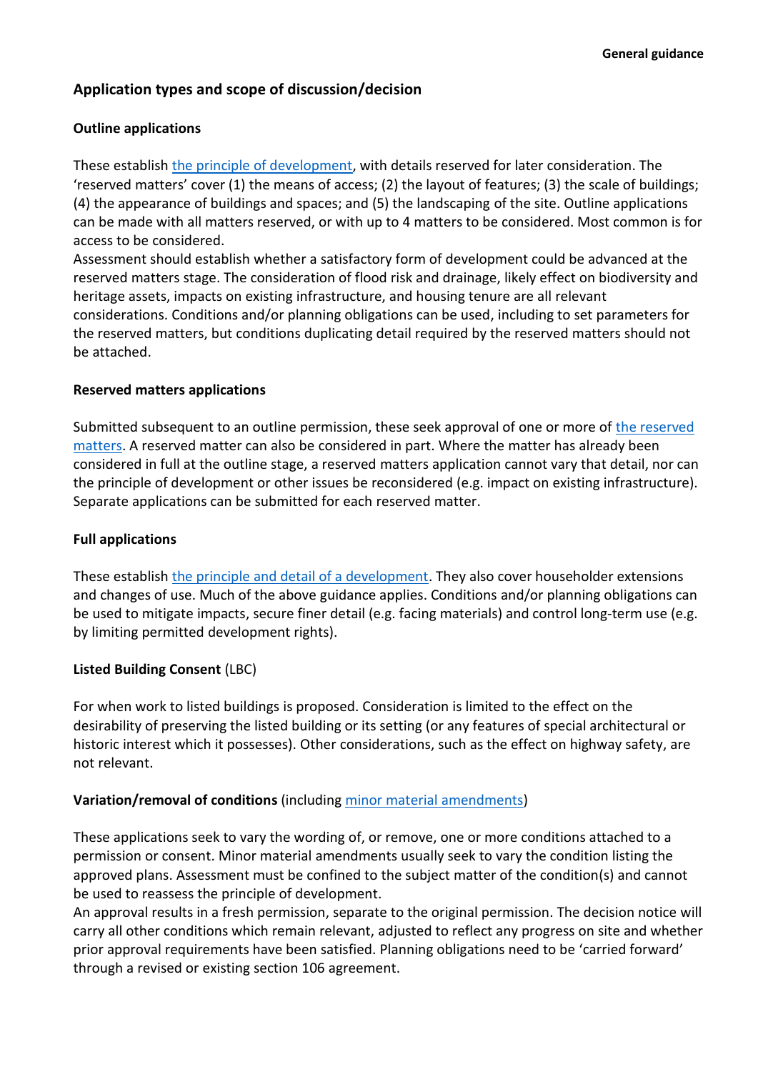## **Application types and scope of discussion/decision**

### **Outline applications**

These establish [the principle of development,](https://www.gov.uk/guidance/making-an-application#outline-planning-permission) with details reserved for later consideration. The 'reserved matters' cover (1) the means of access; (2) the layout of features; (3) the scale of buildings; (4) the appearance of buildings and spaces; and (5) the landscaping of the site. Outline applications can be made with all matters reserved, or with up to 4 matters to be considered. Most common is for access to be considered.

Assessment should establish whether a satisfactory form of development could be advanced at the reserved matters stage. The consideration of flood risk and drainage, likely effect on biodiversity and heritage assets, impacts on existing infrastructure, and housing tenure are all relevant considerations. Conditions and/or planning obligations can be used, including to set parameters for the reserved matters, but conditions duplicating detail required by the reserved matters should not be attached.

### **Reserved matters applications**

Submitted subsequent to an outline permission, these seek approval of one or more of [the reserved](https://www.gov.uk/guidance/making-an-application#approval-of-reserved-matters)  [matters.](https://www.gov.uk/guidance/making-an-application#approval-of-reserved-matters) A reserved matter can also be considered in part. Where the matter has already been considered in full at the outline stage, a reserved matters application cannot vary that detail, nor can the principle of development or other issues be reconsidered (e.g. impact on existing infrastructure). Separate applications can be submitted for each reserved matter.

### **Full applications**

These establish [the principle and detail of a development.](https://www.gov.uk/guidance/making-an-application#full-planning-permission) They also cover householder extensions and changes of use. Much of the above guidance applies. Conditions and/or planning obligations can be used to mitigate impacts, secure finer detail (e.g. facing materials) and control long-term use (e.g. by limiting permitted development rights).

### **Listed Building Consent** (LBC)

For when work to listed buildings is proposed. Consideration is limited to the effect on the desirability of preserving the listed building or its setting (or any features of special architectural or historic interest which it possesses). Other considerations, such as the effect on highway safety, are not relevant.

### **Variation/removal of conditions** (including minor material [amendments\)](https://www.gov.uk/guidance/flexible-options-for-planning-permissions)

These applications seek to vary the wording of, or remove, one or more conditions attached to a permission or consent. Minor material amendments usually seek to vary the condition listing the approved plans. Assessment must be confined to the subject matter of the condition(s) and cannot be used to reassess the principle of development.

An approval results in a fresh permission, separate to the original permission. The decision notice will carry all other conditions which remain relevant, adjusted to reflect any progress on site and whether prior approval requirements have been satisfied. Planning obligations need to be 'carried forward' through a revised or existing section 106 agreement.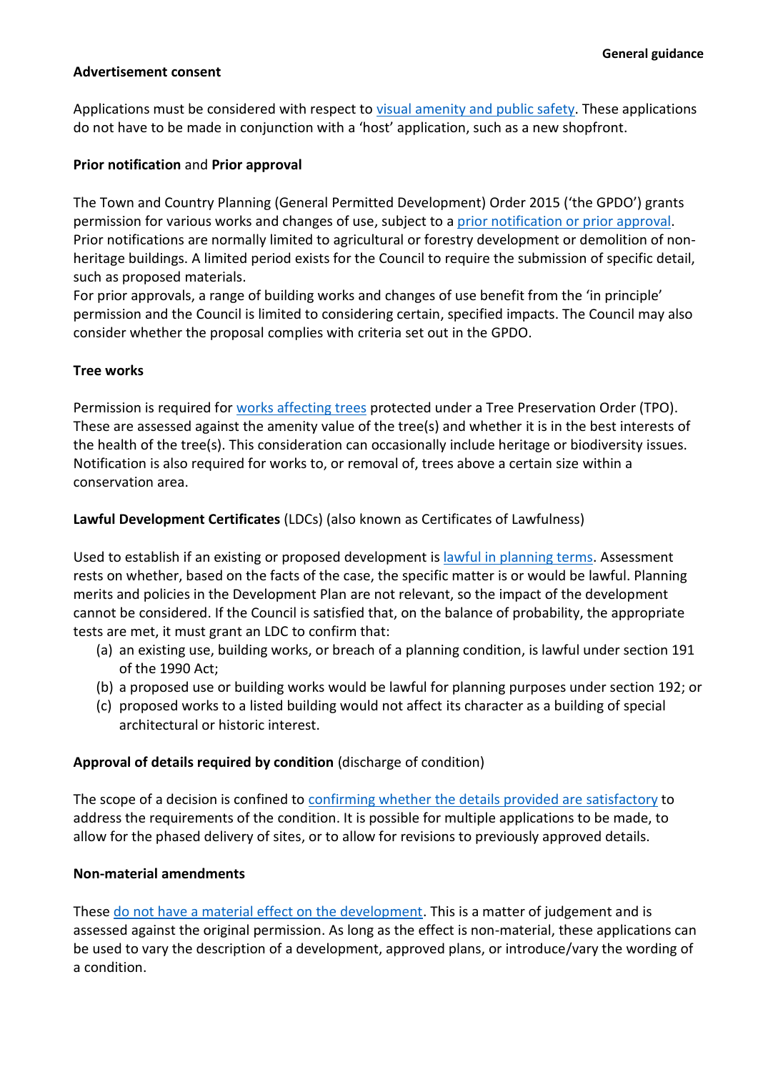#### **Advertisement consent**

Applications must be considered with respect to [visual amenity and public](https://www.gov.uk/guidance/advertisements) safety. These applications do not have to be made in conjunction with a 'host' application, such as a new shopfront.

#### **Prior notification** and **Prior approval**

The Town and Country Planning (General Permitted Development) Order 2015 ('the GPDO') grants permission for various works and changes of use, subject to a [prior notification or prior approval.](https://www.gov.uk/guidance/when-is-permission-required#permitted-development) Prior notifications are normally limited to agricultural or forestry development or demolition of nonheritage buildings. A limited period exists for the Council to require the submission of specific detail, such as proposed materials.

For prior approvals, a range of building works and changes of use benefit from the 'in principle' permission and the Council is limited to considering certain, specified impacts. The Council may also consider whether the proposal complies with criteria set out in the GPDO.

#### **Tree works**

Permission is required for [works affecting](https://www.gov.uk/guidance/tree-preservation-orders-and-trees-in-conservation-areas) trees protected under a Tree Preservation Order (TPO). These are assessed against the amenity value of the tree(s) and whether it is in the best interests of the health of the tree(s). This consideration can occasionally include heritage or biodiversity issues. Notification is also required for works to, or removal of, trees above a certain size within a conservation area.

#### **Lawful Development Certificates** (LDCs) (also known as Certificates of Lawfulness)

Used to establish if an existing or proposed development is [lawful in planning](https://www.gov.uk/guidance/lawful-development-certificates) terms. Assessment rests on whether, based on the facts of the case, the specific matter is or would be lawful. Planning merits and policies in the Development Plan are not relevant, so the impact of the development cannot be considered. If the Council is satisfied that, on the balance of probability, the appropriate tests are met, it must grant an LDC to confirm that:

- (a) an existing use, building works, or breach of a planning condition, is lawful under section 191 of the 1990 Act;
- (b) a proposed use or building works would be lawful for planning purposes under section 192; or
- (c) proposed works to a listed building would not affect its character as a building of special architectural or historic interest.

#### **Approval of details required by condition** (discharge of condition)

The scope of a decision is confined to confirming whether [the details provided are satisfactory](https://www.gov.uk/guidance/use-of-planning-conditions#discharging-and-modifying-conditions) to address the requirements of the condition. It is possible for multiple applications to be made, to allow for the phased delivery of sites, or to allow for revisions to previously approved details.

#### **Non-material amendments**

These do [not have a material effect on the development.](https://www.gov.uk/guidance/flexible-options-for-planning-permissions) This is a matter of judgement and is assessed against the original permission. As long as the effect is non-material, these applications can be used to vary the description of a development, approved plans, or introduce/vary the wording of a condition.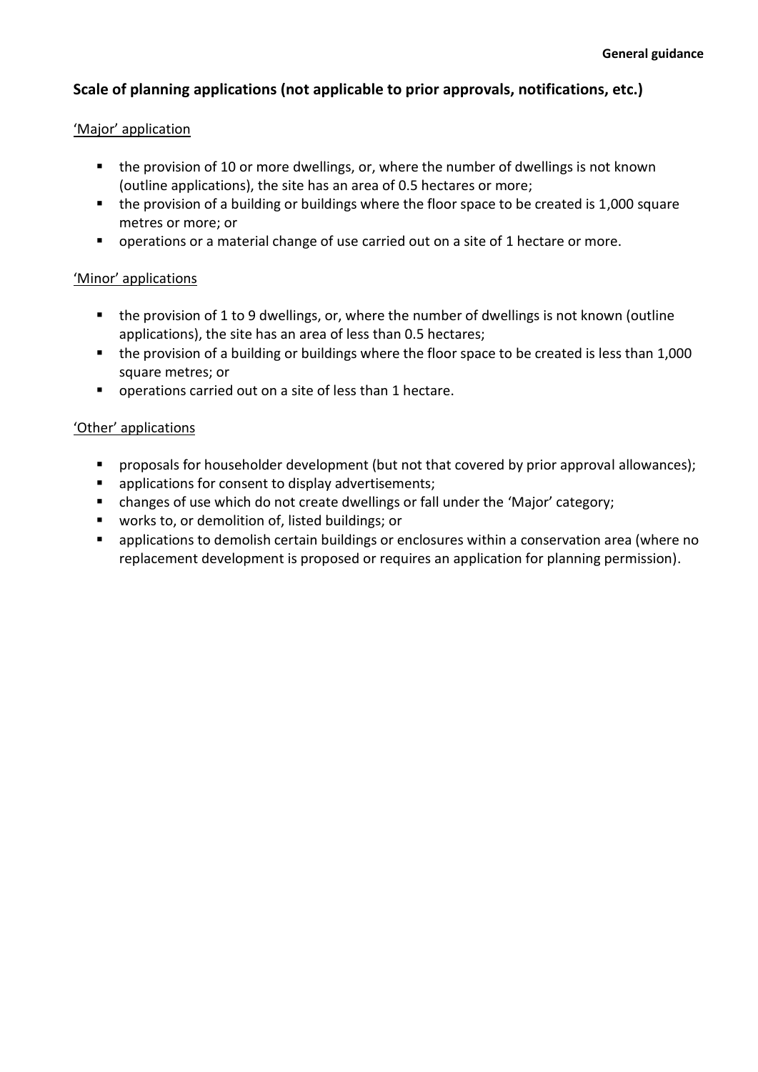## **Scale of planning applications (not applicable to prior approvals, notifications, etc.)**

### 'Major' application

- the provision of 10 or more dwellings, or, where the number of dwellings is not known (outline applications), the site has an area of 0.5 hectares or more;
- the provision of a building or buildings where the floor space to be created is 1,000 square metres or more; or
- operations or a material change of use carried out on a site of 1 hectare or more.

### 'Minor' applications

- the provision of 1 to 9 dwellings, or, where the number of dwellings is not known (outline applications), the site has an area of less than 0.5 hectares;
- the provision of a building or buildings where the floor space to be created is less than 1,000 square metres; or
- operations carried out on a site of less than 1 hectare.

### 'Other' applications

- **•** proposals for householder development (but not that covered by prior approval allowances);
- applications for consent to display advertisements;
- changes of use which do not create dwellings or fall under the 'Major' category;
- works to, or demolition of, listed buildings; or
- applications to demolish certain buildings or enclosures within a conservation area (where no replacement development is proposed or requires an application for planning permission).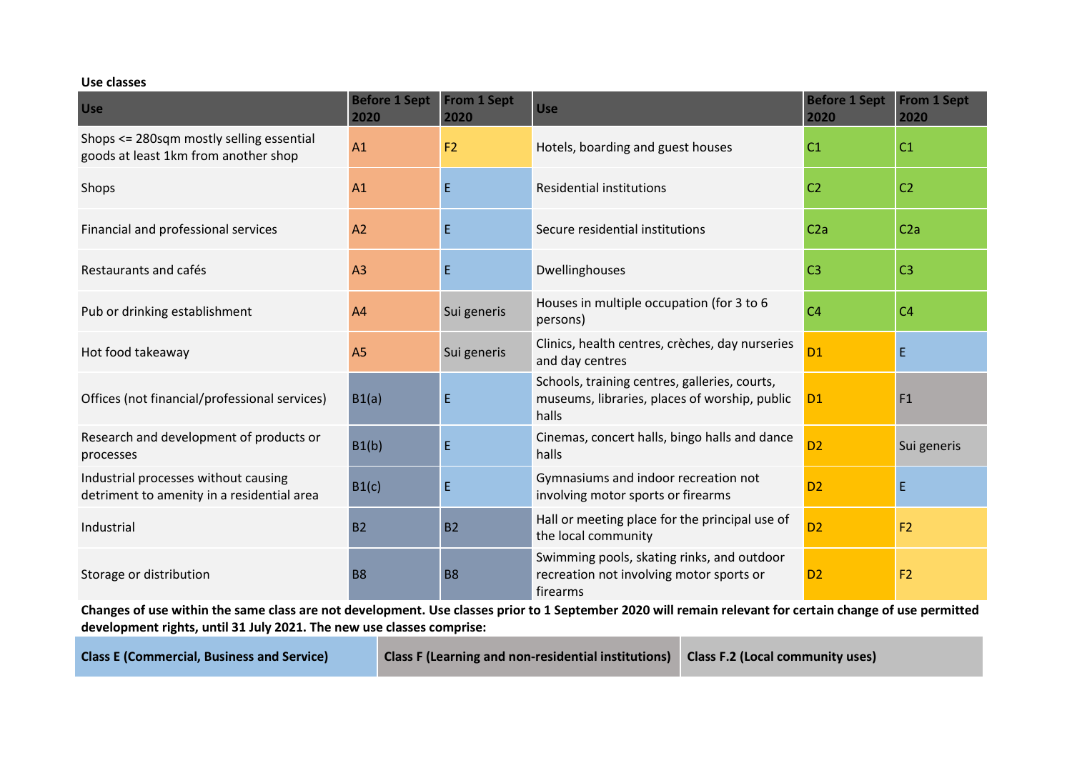#### **Use classes**

| <b>Use</b>                                                                         | <b>Before 1 Sept</b><br>2020 | <b>From 1 Sept</b><br>2020 | <b>Use</b>                                                                                              | <b>Before 1 Sept</b><br>2020 | <b>From 1 Sept</b><br>2020 |
|------------------------------------------------------------------------------------|------------------------------|----------------------------|---------------------------------------------------------------------------------------------------------|------------------------------|----------------------------|
| Shops <= 280sqm mostly selling essential<br>goods at least 1km from another shop   | A1                           | F2                         | Hotels, boarding and guest houses                                                                       | C <sub>1</sub>               | C <sub>1</sub>             |
| Shops                                                                              | A1                           | E                          | <b>Residential institutions</b>                                                                         | C <sub>2</sub>               | C <sub>2</sub>             |
| Financial and professional services                                                | A2                           |                            | Secure residential institutions                                                                         | C2a                          | C <sub>2a</sub>            |
| Restaurants and cafés                                                              | A <sub>3</sub>               | E                          | Dwellinghouses                                                                                          | C <sub>3</sub>               | C <sub>3</sub>             |
| Pub or drinking establishment                                                      | A4                           | Sui generis                | Houses in multiple occupation (for 3 to 6<br>persons)                                                   | C <sub>4</sub>               | C <sub>4</sub>             |
| Hot food takeaway                                                                  | A <sub>5</sub>               | Sui generis                | Clinics, health centres, crèches, day nurseries<br>and day centres                                      | <b>D1</b>                    | E.                         |
| Offices (not financial/professional services)                                      | B1(a)                        | Ε                          | Schools, training centres, galleries, courts,<br>museums, libraries, places of worship, public<br>halls | D <sub>1</sub>               | F1                         |
| Research and development of products or<br>processes                               | B1(b)                        | E                          | Cinemas, concert halls, bingo halls and dance<br>halls                                                  | D <sub>2</sub>               | Sui generis                |
| Industrial processes without causing<br>detriment to amenity in a residential area | B1(c)                        | E                          | Gymnasiums and indoor recreation not<br>involving motor sports or firearms                              | D <sub>2</sub>               | $\mathsf E$                |
| Industrial                                                                         | <b>B2</b>                    | <b>B2</b>                  | Hall or meeting place for the principal use of<br>the local community                                   | D <sub>2</sub>               | F <sub>2</sub>             |
| Storage or distribution                                                            | <b>B8</b>                    | <b>B8</b>                  | Swimming pools, skating rinks, and outdoor<br>recreation not involving motor sports or<br>firearms      | D <sub>2</sub>               | F <sub>2</sub>             |

**Changes of use within the same class are not development. Use classes prior to 1 September 2020 will remain relevant for certain change of use permitted development rights, until 31 July 2021. The new use classes comprise:**

**Class E (Commercial, Business and Service) Class F (Learning and non-residential institutions) Class F.2 (Local community uses)**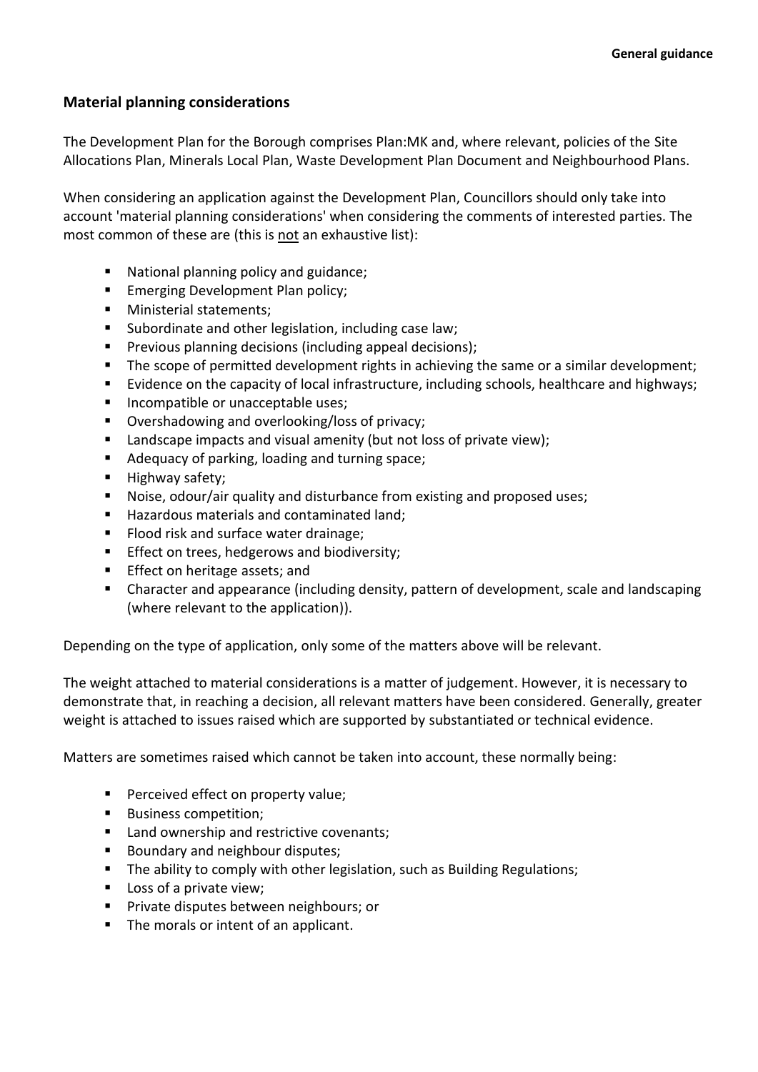### **Material planning considerations**

The Development Plan for the Borough comprises Plan:MK and, where relevant, policies of the Site Allocations Plan, Minerals Local Plan, Waste Development Plan Document and Neighbourhood Plans.

When considering an application against the Development Plan, Councillors should only take into account 'material planning considerations' when considering the comments of interested parties. The most common of these are (this is not an exhaustive list):

- National planning policy and guidance;
- **Emerging Development Plan policy;**
- Ministerial statements:
- Subordinate and other legislation, including case law;
- Previous planning decisions (including appeal decisions);
- The scope of permitted development rights in achieving the same or a similar development;
- Evidence on the capacity of local infrastructure, including schools, healthcare and highways;
- Incompatible or unacceptable uses;
- Overshadowing and overlooking/loss of privacy;
- Landscape impacts and visual amenity (but not loss of private view);
- Adequacy of parking, loading and turning space;
- **■** Highway safety;
- Noise, odour/air quality and disturbance from existing and proposed uses;
- Hazardous materials and contaminated land;
- Flood risk and surface water drainage;
- **Effect on trees, hedgerows and biodiversity;**
- Effect on heritage assets; and
- Character and appearance (including density, pattern of development, scale and landscaping (where relevant to the application)).

Depending on the type of application, only some of the matters above will be relevant.

The weight attached to material considerations is a matter of judgement. However, it is necessary to demonstrate that, in reaching a decision, all relevant matters have been considered. Generally, greater weight is attached to issues raised which are supported by substantiated or technical evidence.

Matters are sometimes raised which cannot be taken into account, these normally being:

- Perceived effect on property value;
- Business competition;
- Land ownership and restrictive covenants;
- Boundary and neighbour disputes;
- The ability to comply with other legislation, such as Building Regulations;
- Loss of a private view;
- Private disputes between neighbours; or
- The morals or intent of an applicant.